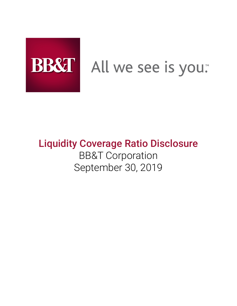

# All we see is you.

# Liquidity Coverage Ratio Disclosure BB&T Corporation September 30, 2019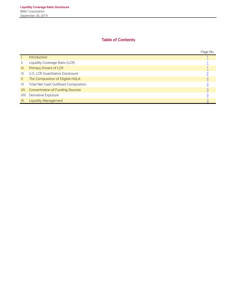# **Table of Contents**

|                 |                                     | Page No.       |
|-----------------|-------------------------------------|----------------|
| Ъ.              | <b>Introduction</b>                 |                |
| $\mathbf{II}$ . | Liquidity Coverage Ratio (LCR)      |                |
| III.            | <b>Primary Drivers of LCR</b>       |                |
| IV.             | U.S. LCR Quantitative Disclosure    |                |
| V.              | The Composition of Eligible HQLA    |                |
| VI.             | Total Net Cash Outflows Composition |                |
| VII.            | Concentration of Funding Sources    | $\overline{3}$ |
|                 | VIII. Derivative Exposure           |                |
| IX.             | <b>Liquidity Management</b>         |                |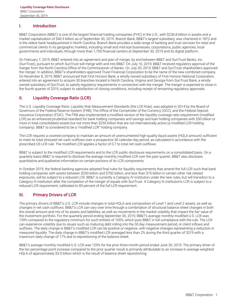#### <span id="page-2-0"></span>**I. Introduction**

BB&T Corporation (BB&T) is one of the largest financial holding companies (FHC) in the U.S., with \$236.8 billion in assets and a market capitalization of \$40.9 billion as of September 30, 2019. Branch Bank, BB&T's largest subsidiary, was chartered in 1872 and is the oldest bank headquartered in North Carolina. Branch Bank provides a wide range of banking and trust services for retail and commercial clients in its geographic markets, including small and mid-size businesses, corporations, public agencies, local governments and individuals, through more than 1,700 financial centers at September 30, 2019 and its digital platform.

On February 7, 2019, BB&T entered into an agreement and plan of merger, by and between BB&T and SunTrust Banks, Inc. (SunTrust), pursuant to which SunTrust will merge with and into BB&T. On July 10, 2019, BB&T received regulatory approval of the merger from the North Carolina Office of the Commissioner of Banks. On July 30, 2019, BB&T and SunTrust shareholders approved the merger. In addition, BB&T's shareholders approved Truist Financial Corporation to be the name of the new combined company. On November 8, 2019, BB&T announced that First Horizon Bank, a wholly owned subsidiary of First Horizon National Corporation, entered into an agreement to acquire 30 branches located in North Carolina, Virginia and Georgia from SunTrust Bank, a wholly owned subsidiary of SunTrust, to satisfy regulatory requirements in connection with the merger. The merger is expected to close in the fourth quarter of 2019, subject to satisfaction of closing conditions, including receipt of remaining regulatory approvals.

#### **II. Liquidity Coverage Ratio (LCR)**

The U.S. Liquidity Coverage Ratio: Liquidity Risk Measurement Standards (the LCR Rule), was adopted in 2014 by the Board of Governors of the Federal Reserve System (FRB), The Office of the Comptroller of the Currency (OCC), and the Federal Deposit Insurance Corporation (FDIC). The FRB also implemented a modified version of the liquidity coverage ratio requirement (modified LCR) as an enhanced prudential standard for bank holding companies and savings and loan holding companies with \$50 billion or more in total consolidated assets but not more than \$250 billion that are not internationally active (a modified LCR holding company). BB&T is considered to be a "modified LCR" holding company.

The LCR requires a covered company to maintain an amount of unencumbered high-quality liquid assets (HQLA amount) sufficient to meet its total stressed net cash outflows over a prospective 30 calendar-day period, as calculated in accordance with the prescribed US LCR rule. The modified LCR applies a factor of 0.7 to total net cash outflows.

BB&T is subject to the modified LCR requirements and to the LCR public disclosure requirements on a consolidated basis. On a quarterly basis BB&T is required to disclose the average monthly modified LCR over the past quarter. BB&T also discloses quantitative and qualitative information on certain portions of its LCR components.

In October 2019, the federal banking agencies adopted final rules for liquidity requirements that amend the full LCR such that bank holding companies with assets between \$250 billion and \$700 billion, and less than \$75 billion in certain other risk related exposures, will be subject to a reduced LCR. BB&T is currently a Category IV institution under the new rules, but will transition to a Category III institution after the completion of the merger of equals with SunTrust. A Category III institution's LCR is subject to a reduced LCR requirement, calibrated to 85 percent of the full LCR requirement.

### **III. Primary Drivers of LCR**

The primary drivers of BB&T's U.S. LCR include changes in total HQLA and composition of Level 1 and Level 2 assets, as well as changes in net cash outflows. BB&T's LCR can vary over time through a combination of structural balance sheet changes in both the overall amount and mix of its assets and liabilities, as well as movements in the market volatility that impact the fair value of the investment portfolio. For the quarterly period ending September 30, 2019, BB&T's average monthly modified U.S. LCR was 139% compared to the regulatory minimum for such entities of 100%, which puts BB&T in full compliance with the rule. The LCR can experience volatility due to issues such as maturing debt rolling into the 30 day measurement period, or client inflows and outflows. The daily change in BB&T's modified LCR can be positive or negative, with negative changes representing a reduction in measured liquidity. The daily change in BB&T's modified LCR averaged less than 2% during the third quarter of 2019 with a maximum daily change of 17% due to repositioning of the balance sheet.

BB&T's average monthly modified U.S. LCR was 129% for the prior three month period ended June 30, 2019. The primary driver of the ten percentage point increase compared to the prior quarter result is primarily attributable to an increase in average weighted HQLA of approximately \$3.0 billion which is the result of balance sheet repositioning.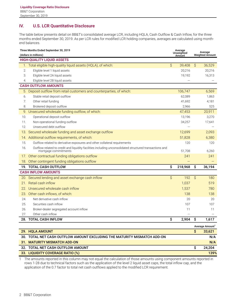# <span id="page-3-0"></span>**IV. U.S. LCR Quantitative Disclosure**

The table below presents detail on BB&T's consolidated average LCR, including HQLA, Cash Outflow & Cash Inflow, for the three months ended September 30, 2019. As per LCR rules for modified LCR holding companies, averages are calculated using monthend balances.

| Three Months Ended September 30, 2019<br>(dollars in millions) |                                                                                                                                 |              | Average<br>Unweighted<br>Amount |           | Average<br><b>Weighted Amount</b> |  |  |
|----------------------------------------------------------------|---------------------------------------------------------------------------------------------------------------------------------|--------------|---------------------------------|-----------|-----------------------------------|--|--|
| <b>HIGH-QUALITY LIQUID ASSETS</b>                              |                                                                                                                                 |              |                                 |           |                                   |  |  |
|                                                                | 1. Total eligible high-quality liquid assets (HQLA), of which:                                                                  | $\mathsf{S}$ | 39,408                          | $\hat{S}$ | 36,529                            |  |  |
| 2.                                                             | Eligible level 1 liquid assets                                                                                                  |              | 20,216                          |           | 20,216                            |  |  |
| 3.                                                             | Eligible level 2A liquid assets                                                                                                 |              | 19,192                          |           | 16,313                            |  |  |
| 4.                                                             | Eligible level 2B liquid assets                                                                                                 |              |                                 |           |                                   |  |  |
|                                                                | <b>CASH OUTFLOW AMOUNTS</b>                                                                                                     |              |                                 |           |                                   |  |  |
|                                                                | 5. Deposit outflow from retail customers and counterparties, of which:                                                          |              | 106,747                         |           | 6,569                             |  |  |
| 6.                                                             | Stable retail deposit outflow                                                                                                   |              | 62,089                          |           | 1,863                             |  |  |
| 7.                                                             | Other retail funding                                                                                                            |              | 41,692                          |           | 4,181                             |  |  |
| 8.                                                             | Brokered deposit outflow                                                                                                        |              | 2,966                           |           | 525                               |  |  |
| 9.                                                             | Unsecured wholesale funding outflow, of which:                                                                                  |              | 47,453                          |           | 20,911                            |  |  |
| 10.                                                            | Operational deposit outflow                                                                                                     |              | 13,196                          |           | 3,270                             |  |  |
| 11.                                                            | Non-operational funding outflow                                                                                                 |              | 34,257                          |           | 17,641                            |  |  |
| 12.                                                            | Unsecured debt outflow                                                                                                          |              |                                 |           |                                   |  |  |
| 13.                                                            | Secured wholesale funding and asset exchange outflow                                                                            |              | 12,699                          |           | 2,093                             |  |  |
|                                                                | 14. Additional outflow requirements, of which:                                                                                  |              | 51,828                          |           | 6,380                             |  |  |
| 15.                                                            | Outflow related to derivative exposures and other collateral requirements                                                       |              | 120                             |           | 120                               |  |  |
| 16.                                                            | Outflow related to credit and liquidity facilities including unconsolidated structured transactions and<br>mortgage commitments |              | 51,708                          |           | 6,260                             |  |  |
| $1/$ .                                                         | Other contractual funding obligations outflow                                                                                   |              | 241                             |           | 241                               |  |  |
| 18.                                                            | Other contingent funding obligations outflow                                                                                    |              |                                 |           |                                   |  |  |
|                                                                | 19. TOTAL CASH OUTFLOW                                                                                                          | \$           | 218,968                         | \$        | 36,194                            |  |  |
|                                                                | <b>CASH INFLOW AMOUNTS</b>                                                                                                      |              |                                 |           |                                   |  |  |
|                                                                | 20. Secured lending and asset exchange cash inflow                                                                              | \$           | 192                             | \$        | 180                               |  |  |
| 21.                                                            | Retail cash inflow                                                                                                              |              | 1,037                           |           | 519                               |  |  |
|                                                                | 22. Unsecured wholesale cash inflow                                                                                             |              | 1,537                           |           | 780                               |  |  |
| 23.                                                            | Other cash inflows, of which:                                                                                                   |              | 138                             |           | 138                               |  |  |
| 24.                                                            | Net derivative cash inflow                                                                                                      |              | 20                              |           | 20                                |  |  |
| 25.                                                            | Securities cash inflow                                                                                                          |              | 107                             |           | 107                               |  |  |
| 26.                                                            | Broker-dealer segregated account inflow                                                                                         |              | 11                              |           | 11                                |  |  |
| 27.                                                            | Other cash inflow                                                                                                               |              |                                 |           |                                   |  |  |
|                                                                | 28. TOTAL CASH INFLOW                                                                                                           | \$           | 2,904                           | \$        | 1,617                             |  |  |
|                                                                |                                                                                                                                 |              |                                 |           | Average Amount <sup>1</sup>       |  |  |
|                                                                | 29. HQLA AMOUNT                                                                                                                 |              |                                 | \$        | 33,621                            |  |  |
|                                                                | 30. TOTAL NET CASH OUTFLOW AMOUNT EXCLUDING THE MATURITY MISMATCH ADD-ON                                                        |              |                                 |           | N/A                               |  |  |
|                                                                | 31. MATURITY MISMATCH ADD-ON                                                                                                    |              |                                 |           | N/A                               |  |  |
|                                                                | 32. TOTAL NET CASH OUTFLOW AMOUNT                                                                                               |              |                                 | \$        | 24,204                            |  |  |
|                                                                | 33. LIQUIDITY COVERAGE RATIO (%)                                                                                                |              |                                 |           | 139%                              |  |  |

1 The amounts reported in this column may not equal the calculation of those amounts using component amounts reported in rows 1-28 due to technical factors such as the application of the level 2 liquid asset caps, the total inflow cap, and the application of the 0.7 factor to total net cash outflows applied to the modified LCR requirement.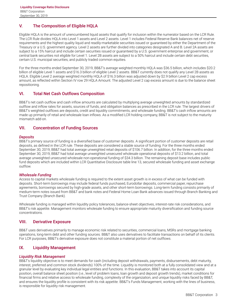# <span id="page-4-0"></span>**V. The Composition of Eligible HQLA**

Eligible HQLA is the amount of unencumbered liquid assets that qualify for inclusion within the numerator based on the LCR Rule. The LCR Rule divides HQLA into Level 1 assets and Level 2 assets. Level 1 includes Federal Reserve Bank balances net of reserve requirements and the highest quality liquid and readily-marketable securities issued or guaranteed by either the Department of the Treasury or a U.S. government agency. Level 2 assets are further divided into categories designated A and B. Level 2A assets are subject to a 15% haircut and include certain securities issued or guaranteed by a U.S. government enterprise and government, or central bank securities not eligible for Level 1. Level 2B assets are subject to a 50% haircut and include certain debt securities, certain U.S. municipal securities, and publicly traded common equities.

For the three months ended September 30, 2019, BB&T's average weighted monthly HQLA was \$36.5 billion, which includes \$20.2 billion of eligible Level 1 assets and \$16.3 billion of eligible Level 2 assets. BB&T currently does not qualify any Level 2B assets as HQLA. Eligible Level 2 average weighted monthly HQLA of \$16.3 billion was adjusted down by \$2.9 billion Level 2 cap excess amount, as reflected within Section IV row 29 HQLA Amount. The adjusted Level 2 cap excess amount is due to the balance sheet repositioning.

#### **VI. Total Net Cash Outflows Composition**

BB&T's net cash outflow and cash inflow amounts are calculated by multiplying average unweighted amounts by standardized outflow and inflow rates for assets, sources of funds, and obligation balances as prescribed in the LCR rule. The largest drivers of BB&T's weighted outflows are deposits, credit and liquidity commitments, and wholesale funding. BB&T's cash inflow amounts are made up primarily of retail and wholesale loan inflows. As a modified LCR holding company, BB&T is not subject to the maturity mismatch add-on.

#### **VII. Concentration of Funding Sources**

#### *Deposits*

BB&T's primary source of funding is a diversified base of customer deposits. A significant portion of customer deposits are retail deposits, as defined in the LCR rule. These deposits are considered a stable source of funding. For the three months ended September 30, 2019, BB&T had total average unweighted retail deposits of \$106.7 billion. In addition, for the three months ended September 30, 2019, BB&T had total average unweighted unsecured wholesale operational deposits of \$13.2 billion, and total average unweighted unsecured wholesale non-operational funding of \$34.3 billion. The remaining deposit base includes public fund deposits which are included within LCR Quantitative Disclosure table line 13, secured wholesale funding and asset exchange outflow.

#### *Wholesale Funding*

Access to capital markets wholesale funding is required to the extent asset growth is in excess of what can be funded with deposits. Short-term borrowings may include federal funds purchased, Eurodollar deposits, commercial paper, repurchase agreements, borrowings secured by high-grade assets, and other short-term borrowings. Long-term funding consists primarily of medium-term notes issued from BB&T and bank notes and Federal Home Loan Bank advances issued through Branch Banking and Trust Company (Branch Bank).

Wholesale funding is managed within liquidity policy tolerances, balance-sheet objectives, interest-rate risk considerations, and BB&T's risk appetite. Management monitors wholesale funding to ensure appropriate maturity diversification and funding source concentrations.

#### **VIII. Derivative Exposure**

BB&T uses derivatives primarily to manage economic risk related to securities, commercial loans, MSRs and mortgage banking operations, long-term debt and other funding sources. BB&T also uses derivatives to facilitate transactions on behalf of its clients. For LCR purposes, BB&T's derivative exposure does not constitute a material portion of net outflows.

### **IX. Liquidity Management**

#### *Liquidity Risk Management*

BB&T's liquidity objective is to meet demands for cash (including deposit withdrawals, payments, disbursements, debt maturity, interest, preferred and common stock dividends) 100% of the time. Liquidity is monitored both at a fully consolidated view and at a granular level by evaluating key individual legal entities and functions. In this evaluation, BB&T takes into account its capital position, overall balance sheet position (i.e., level of problem loans, loan growth and deposit growth trends), market conditions for financial firms and relative access to wholesale funding, complexity of the organization, and unique liquidity risks faced by BB&T, and ensures the liquidity profile is consistent with its risk appetite. BB&T's Funds Management, working with the lines of business, is responsible for liquidity risk management.